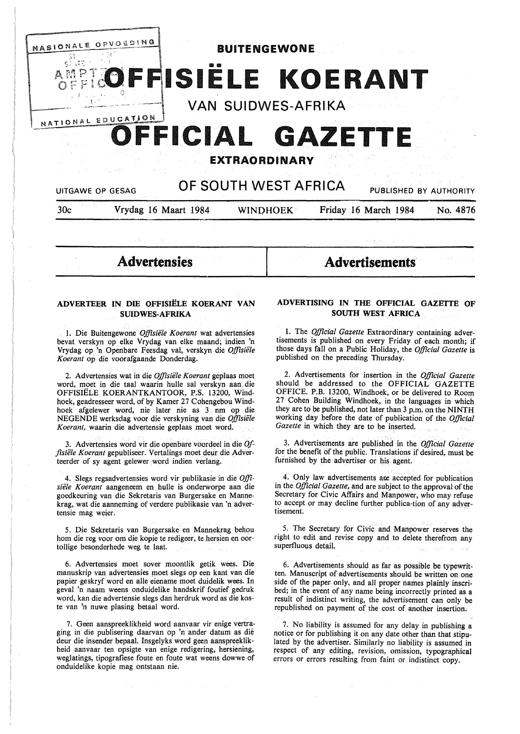

Advertensies

**Advertisements** 

# **ADVERTEER IN DIE OFFISIELE KOERANT VAN SUIDWES-AFRIKA**

1. Die Buitengewone *Offisiele Koerant* wat advertensies bevat verskyn op elke Vrydag van elke maand; indien 'n Vrydag op 'n Openbare Feesdag val, verskyn die *Offisiiile Koerant* op die voorafgaande Donderdag.

2. Advertensies wat in die *Offisiele Koerant* geplaas moet word, moet in die taal waarin hulle sal verskyn aan die OFFISIELE **KOERANTKANTOOR, P.S.** 13200, **Wind**hoek, geadresseer word, of by Kamer 27 Cohengebou Windhoek afgelewer word, nie later nie as 3 nm op die NEGENDE werksdag voor die verskyning van die *Offisiele Koerant,* waarin die advertensie geplaas moet word.

3. Advertensies word vir die openbare voordeel in die *Offisiele Koerant* gepubliseer. Vertalings moet deur die Adverteerder of sy agent gelewer word indien verlang.

4. Slegs regsadvertensies word vir publikasie in die *Offisiele Koerant* aangeneem en. hulle is onderworpe aan die goedkeuring van die Sekretaris van Burgersake en Mannekrag, wat die aanneming of verdere publikasie van 'n advertensie mag weier.

5. Die Sekretaris van Burgersake en Mannekrag behou horn die reg voor om die kopie te redigeer, te hersien en oortollige besonderhede weg te laat.

6. Advertensies moet sover moontlik getik wees. Die manuskrip van advertensies moet slegs op een kant van die papier geskryf word en alle eiename moet duidelik wees. In geval 'n naam weens onduidelike handskrif foutief gedruk word, kan die advertensie slegs dan herdruk word as die koste van 'n nuwe plasing betaal word.

7. Geen aanspreeklikheid word aanvaar vir enige vertraging in die publisering daarvan op 'n ander datum as dié deur die insender bepaal. Insgelyks word geen aanspreeklikheid aanvaar ten opsigte van enige redigering, hersiening, weglatings, tipografiese foute en foute wat weens dowwe of onduidelike kopie mag ontstaan nie.

# **ADVERTISING IN THE OFFICIAL GAZETTE OF SOUTH WEST AFRICA**

1. The *Official Gazette* Extraordinary containing advertisements is published on every Friday of each month; if those days fall on a Public Holiday, the *Official Gazette* is published on the preceding Thursday.

2. Advertisements for insertion in the *Official Gazette*  should be addressed to the OFFICIAL GAZETTE OFFICE. P.B. 13200, Windhoek, or be delivered to Room 27 Cohen Building Windhoek, in the languages in which they are to be published, not later than 3 p.m. on the **NINTH**  working day before the date of publication of the *Official Gazette* in which they are to be inserted.

3. Advertisements are published in the *Official Gazette*  for the benefit of the public. Translations if desired, must be furnished by the advertiser or his agent.

4. Only law advertisements are accepted for publication in the *Official Gazette,* and are subject to the approval of the Secretary for Civic Affairs and Manpower, who may refuse to accept or may decline further publica-tion of any advertisement.

5. The Secretary for Civic and Manpower reserves the right to edit and revise copy and to delete therefrom any superfluous detail.

6. Advertisements should as far as possible be typewritten. Manuscript of advertisements should be written on one side of the paper only, and all proper names plainly inscribed; in the event of any name being incorrectly printed as a result of indistinct writing, the advertisement can only be republished on payment of the cost of another insertion.

7. No liability is assumed for any delay in publishing a notice or for publishing it on any date other than that stipulated by the advertiser. Similarly no liability is assumed in respect of any editing, revision, omission, typographical errors or errors resulting from faint or indistinct copy.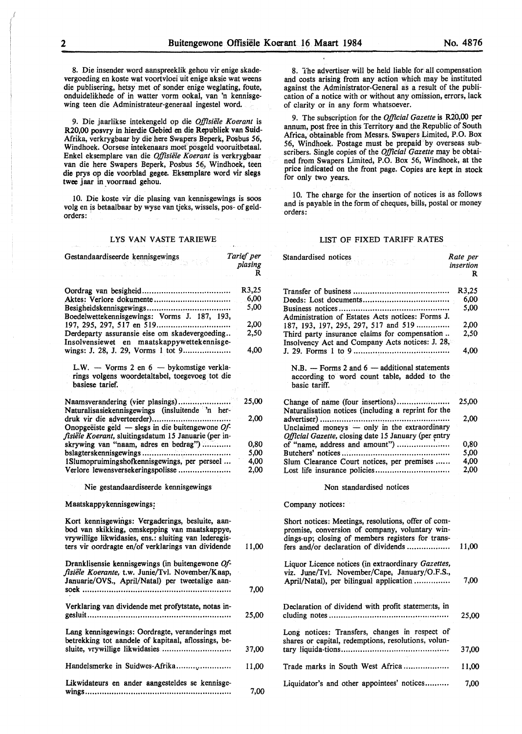8. Die insender word aanspreeklik gehou vir enige skadevergoeding en koste wat voortvloei uit enige aksie wat weens die publisering, hetsy met of sonder enige weglating, foute, onduidelikhede of in watter vorm ookal, van 'n kennisgewing teen die Administrateur-generaal ingestel word.

9. Die jaarlikse intekengeld op die *Offisiele Koerant* is R20,00 posvry in hierdie Gebied en die Republiek van Suid-Afrika, verkrygbaar by die here Swapers Beperk, Posbus 56, Windhoek. Oorsese intekenaars moet posgeld vooruitbetaal. Enke! eksemplare van die *Offisiele Koerant* is verkrygbaar van die here Swapers Beperk, Posbus 56, Windhoek, teen die prys op die voorblad **gegee.** Eksemplare word vir **slegs**  twee jaar in voorraad gehou.

10. Die koste vir die plasing van kennisgewings is soos volg en is betaalbaar by wyse van tjeks, wissels, pos- of geldorders:

## LYS VAN VASTE TARIEWE

| Gestandaardiseerde kennisgewings                                                                                                                                                                                 | Tarief per<br>plasing         |
|------------------------------------------------------------------------------------------------------------------------------------------------------------------------------------------------------------------|-------------------------------|
|                                                                                                                                                                                                                  | R                             |
| Aktes: Verlore dokumente<br>Boedelwettekennisgewings: Vorms J. 187, 193,                                                                                                                                         | R3,25<br>6.00<br>5,00<br>2,00 |
| Derdeparty assuransie eise om skadevergoeding<br>Insolvensiewet en maatskappywettekennisge-<br>wings: J. 28, J. 29, Vorms 1 tot 9                                                                                | 2.50<br>4,00                  |
| L.W. - Vorms 2 en $6$ - bykomstige verkla-<br>rings volgens woordetaltabel, toegevoeg tot die<br>basiese tarief.                                                                                                 |                               |
|                                                                                                                                                                                                                  |                               |
| Naamsverandering (vier plasings)<br>Naturalisasiekennisgewings (insluitende 'n her-                                                                                                                              | 25,00                         |
| Onopgeëiste geld — slegs in die buitengewone $Of$ -<br>fisiële Koerant, sluitingsdatum 15 Januarie (per in-                                                                                                      | 2,00                          |
| skrywing van "naam, adres en bedrag")                                                                                                                                                                            | 0,80                          |
|                                                                                                                                                                                                                  | 5,00                          |
| 1Slumopruimingshofkennisgewings, per perseel                                                                                                                                                                     | 4,00                          |
| Verlore lewensversekeringspolisse                                                                                                                                                                                | 2,00                          |
| Nie gestandaardiseerde kennisgewings                                                                                                                                                                             |                               |
| Maatskappykennisgewings:                                                                                                                                                                                         |                               |
| Kort kennisgewings: Vergaderings, besluite, aan-<br>bod van skikking, omskepping van maatskappye,<br>vrywillige likwidasies, ens.: sluiting van lederegis-<br>ters vir oordragte en/of verklarings van dividende | 11,00                         |
| Dranklisensie kennisgewings (in buitengewone Of-<br>fisiële Koerante, t.w. Junie/Tvl. November/Kaap,<br>Januarie/OVS., April/Natal) per tweetalige aan-                                                          | 7.00                          |
| Verklaring van dividende met profytstate, notas in-                                                                                                                                                              | 25,00                         |
| Lang kennisgewings: Oordragte, veranderings met<br>betrekking tot aandele of kapitaal, aflossings, be-<br>sluite, vrywillige likwidasies                                                                         | 37,00                         |
| Handelsmerke in Suidwes-Afrika                                                                                                                                                                                   | 11,00                         |
|                                                                                                                                                                                                                  |                               |
| Likwidateurs en ander aangesteldes se kennisge-                                                                                                                                                                  | 7,00                          |

8. The advertiser will be held liable for all compensation and costs arising from any action which may be instituted against the Administrator-General as a result of the publication of a notice with or without any omission, errors, lack of clarity or in any form whatsoever.

9. The subscription for the *Official Gazette* is **R20,00 per**  annum, post free in this Territory and the Republic of South Africa, obtainable from Messrs. Swapers Limited, P.O. Box 56, Windhoek. Postage must be prepaid by overseas subscribers. Single copies of the *Official Gazette* may be obtained from Swapers Limited, P.O. Box 56, Windhoek, at the price indicated on the front page. Copies are kept in stock for only two years.

10. The charge for the insertion of notices is as follows and is payable in the form of cheques, bills, postal or money orders:

#### LIST OF FIXED TARIFF RATES

|   | Standardised notices                                                                                                                                       | Rate per<br>insertion<br>R |
|---|------------------------------------------------------------------------------------------------------------------------------------------------------------|----------------------------|
|   |                                                                                                                                                            |                            |
|   |                                                                                                                                                            | R3,25                      |
|   |                                                                                                                                                            | 6,00                       |
|   | Administration of Estates Acts notices: Forms J.                                                                                                           | 5,00                       |
|   | 187, 193, 197, 295, 297, 517 and 519                                                                                                                       | 2,00                       |
|   | Third party insurance claims for compensation<br>Insolvency Act and Company Acts notices: J. 28,                                                           | 2.50                       |
|   |                                                                                                                                                            | 4.00                       |
|   | $N.B.$ - Forms 2 and 6 - additional statements<br>according to word count table, added to the                                                              |                            |
|   | basic tariff.                                                                                                                                              |                            |
|   | Change of name (four insertions)<br>Naturalisation notices (including a reprint for the                                                                    | 25,00                      |
|   | Unclaimed moneys - only in the extraordinary<br>Official Gazette, closing date 15 January (per entry                                                       | 2.00                       |
|   | of "name, address and amount")                                                                                                                             | 0,80                       |
|   |                                                                                                                                                            | 5,00                       |
|   | Slum Clearance Court notices, per premises                                                                                                                 | 4,00                       |
|   | Lost life insurance policies                                                                                                                               | 2,00                       |
|   | Non standardised notices                                                                                                                                   |                            |
|   | Company notices:                                                                                                                                           |                            |
|   | Short notices: Meetings, resolutions, offer of com-<br>promise, conversion of company, voluntary win-<br>dings-up; closing of members registers for trans- |                            |
|   | fers and/or declaration of dividends                                                                                                                       | 11,00                      |
|   | Liquor Licence notices (in extraordinary Gazettes,<br>viz. June/Tvl. November/Cape, January/O.F.S.,<br>April/Natal), per bilingual application             | 7.00                       |
| ງ |                                                                                                                                                            |                            |
| ີ | Declaration of dividend with profit statements, in                                                                                                         | 25,00                      |
| D | Long notices: Transfers, changes in respect of<br>shares or capital, redemptions, resolutions, volun-                                                      |                            |
|   |                                                                                                                                                            | 37,00                      |
| Ć | Trade marks in South West Africa                                                                                                                           | 11,00                      |
|   | Liquidator's and other appointees' notices                                                                                                                 | 7,00                       |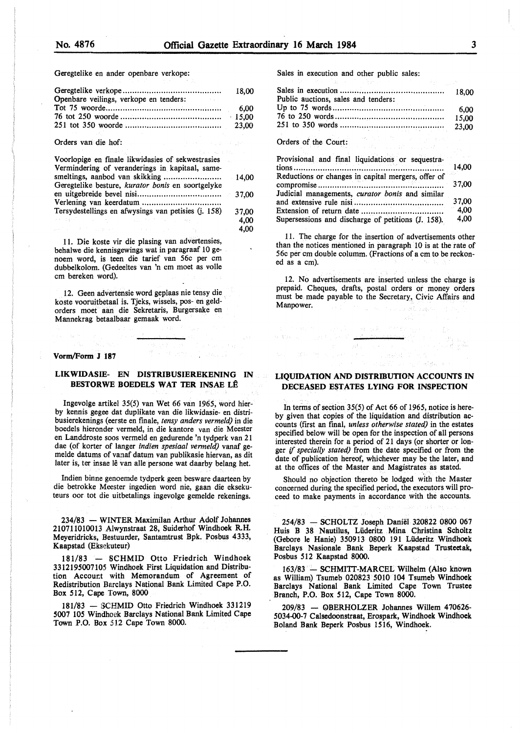4,00

Geregtelike en ander openbare verkope:

| Openbare veilings, verkope en tenders: |  |
|----------------------------------------|--|
|                                        |  |
|                                        |  |

Orders van die hof:

| Voorlopige en finale likwidasies of sekwestrasies   |          |
|-----------------------------------------------------|----------|
| Vermindering of veranderings in kapitaal, same-     |          |
| Geregtelike besture, kurator bonis en soortgelyke   | $-14,00$ |
|                                                     |          |
|                                                     |          |
| Tersydestellings en afwysings van petisies (j. 158) | 37.00    |
| $-4.1 - 1.42$<br>医单元的 建氯化物 医心脏病 医血管静脉炎              | 4,00     |

11. Die koste vir die plasing van advertensies, behalwe die kennisgewings wat in paragraaf 10 genoem word, is teen die tarief van 56c per cm dubbelkolom. (Gedeeltes van 'n cm moet as voile cm bereken word).

12. Geen advertensie word geplaas nie tensy die koste vooruitbetaal is. Tjeks, wissels, pos- en geldorders moet aan die Sekretaris, Burgersake en Mannekrag betaalbaar gemaak word.

#### **Vorm/Form J 187**

## **LIKWIDASIE- EN DISTRIBUSIEREKENING IN BESTORWE BOEDELS WAT TER INSAE LE**

lngevolge artikel 35(5) van Wet 66 van 1965, word hierby kennis gegee dat duplikate van die likwidasie- en distribusierekenings (eerste en finale, *tensy anders vermeld)* in die boedels hieronder vermeld, in die kantore van die Meester en Landdroste soos vermeld en gedurende 'n tydperk van 21 dae (of korter of langer *indien spesiaal vermeld*) vanaf gemelde datums of vanaf datum van publikasie hiervan, as dit later is, ter insae lê van alle persone wat daarby belang het.

Indien binne genoemde tydperk geen besware daarteen by die betrokke Meester ingedien word nie, gaan die eksekuteurs oor tot die uitbetalings ingevolge gemelde rekenings.

234/83 - WINTER Maximilan Arthur Adolf Johannes 210711010013 Alwynstraat 28, Suiderhof Windhoek RH. Meyeridricks, Bestuurder, Santamtrust Bpk. Posbus 4333, Kaapstad (Eksekuteur)

181/83 - SCHMID Otto Friedrich Windhoek 3312195007105 Windhoek First Liquidation and Distribution Accourt with Memorandum of Agreement of Redistribution Barclays National Bank Limited Cape P.O. Box 512, Cape Town, 8000

181/83 - SCHMID Otto Friedrich Windhoek 331219 5007 105 Windhoek Barclays National Bank Limited Cape Town P.O. Box 512 Cape Town 8000.

Sales in execution and other public sales:

| the contract of the party of the contract of the party of the contract of           |       |
|-------------------------------------------------------------------------------------|-------|
| Public auctions, sales and tenders:                                                 | 18,00 |
|                                                                                     | 6.00  |
|                                                                                     | 15,00 |
|                                                                                     | 23,00 |
| He will be the company of the<br>Orders of the Court:<br>e and a constant and produ |       |
| Provisional and final liquidations or sequestra-                                    |       |
|                                                                                     | 14,00 |
| Reductions or changes in capital mergers, offer of                                  |       |
|                                                                                     | 37,00 |
| Judicial managements, curator bonis and similar                                     |       |
|                                                                                     | 37,00 |
|                                                                                     | 4,00  |
| Supersessions and discharge of petitions (J. 158).                                  | 4,00  |

11. The charge for the insertion of advertisements other than the notices mentioned in paragraph IO is at the rate of 56c per cm double columm. (Fractions of a cm to be reckoned as a cm).

12. No advertisements are inserted unless the charge is prepaid. Cheques, drafts, postal orders or money orders must be made payable to the Secretary, Civic Affairs and Manpower.

## **LIQUIDATION AND DISTRIBUTION ACCOUNTS IN DECEASED ESTATES LYING FOR INSPECTION**

 $\mathcal{B}^A$  .

In terms of section 35(5) of Act 66 of 1965, notice is hereby given that copies of the liquidation and distribution accounts (first an final, *unless otherwise stated)* in the estates specified below will be open for the inspection of all persons interested therein for a period of 21 days (or shorter or longer *if specially stated)* from the date specified or from **the**  date of publication hereof, whichever may be the later, and at the offices of the Master and Magistrates as stated.

Should no objection thereto be lodged with the Master concerned during the specified period, the executors will proceed to make payments in accordance with the accounts.

254/83 - SCHOLTZ Joseph Daniel 320822 0800 067 Huis B 38 Nautilus, Lüderitz Mina Christina Scholtz (Gebore le Hanie) 350913 0800 191 Lüderitz Windhoek Barclays Nasionale Bank Beperk Kaapstad Trusteetak, Posbus 512 Kaapstad 8000.

163/83 - SCHMITT-MARCEL Wilhelm (Also known as William) Tsumeb 020823 5010 104 Tsumeb Windhoek Barclays National Bank Limited Cape Town Trustee Branch, P.O. Box 512, Cape Town 8000.

209/83 - OBERHOLZER Johannes Willem 470626-5034-00-7 Calsedoonstraat, Erospark, Windhoek Windhoek Boland Bank Beperk Posbus 1516, Windhoek.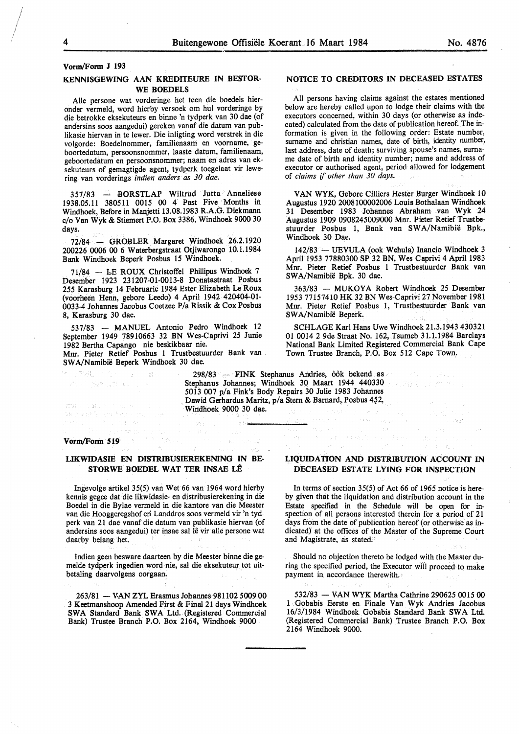**Vorm/Form J 193** 

# **KENNISGEWING AAN KREDITEURE IN BESTOR-WE BOEDELS**

Alle persone wat vorderinge het teen die boedels hieronder verrneld, word hierby versoek om hul vorderinge by die betrokke eksekuteurs en binne 'n tydperk van 30 dae (of andersins soos aangedui) gereken vanaf die datum van publikasie hiervan in te lewer. Die inligting word verstrek in die volgorde: Boedelnommer, familienaam en voorname, geboortedatum, persoonsnommer, laaste datum, familienaam, geboortedatum en persoonsnommer; naam en adres van eksekuteurs of gemagtigde agent, tydperk toegelaat vir lewering van vorderings *indien anders as 30 dae.* 

 $357/83$  - BORSTLAP Wiltrud Jutta Anneliese 1938.05.11 380511 0015 00 4 Past Five Months in Windhoek, Before in Manjetti 13.08.1983 R.A.G. Diekmann c/o Van Wyk & Stiemert P.O. Box 3386, Windhoek 9000 30 days.

72/84 - GROBLER Margaret Windhoek 26.2.1920 200226 0006 00 6 Waterbergstraat Otjiwarongo 10.1.1984 Bank Windhoek Beperk Posbus 15 Windhoek.

71/84 - I,E ROUX Christoffel Phillipus Windhoek 7 Desember 1923 231207-01-0013-8 Donatastraat Posbus 255 Karasburg 14 Februarie 1984 Ester Elizabeth Le Roux (voorheen Henn, gebore Leedo) 4 April 1942 420404-01- 0033-4 Johannes Jacobus Coetzee P/a Rissik & Cox Posbus 8, Karasburg 30 dae.

537/83 - MANUEL Antonio Pedro Windhoek 12 September 1949 78910663 32 BN Wes-Caprivi 25 Junie 1982 Bertha Capango nie beskikbaar nie.

Mnr. Pieter Retief Posbus 1 Trustbestuurder Bank van . SWA/Namibie Beperk Windhoek 30 dae.

血の一度の時間

ストリン辞 したましょう

mark of the protection of  $\label{eq:3.1} \mathbb{E}\{ \mathbb{E}\left[ \mathcal{D}^{\dagger} \mathcal{D} \mathcal{D}^{\dagger} \mathcal{D}^{\dagger} \mathcal{D} \right] \} \geq \mathbb{E}\left[ \mathcal{D}^{\dagger} \mathcal{D} \mathcal{D} \mathcal{D} \mathcal{D} \right] \geq \mathbb{E}\left[ \mathcal{D} \mathcal{D} \mathcal{D} \mathcal{D} \right].$ 

## **NOTICE TO CREDITORS IN DECEASED ESTATES**

All persons having claims against the estates mentioned below are hereby called upon to lodge their claims with the executors concerned, within 30 days (or otherwise as indecated) calculated from the date of publication hereof. The information is given in the following order: Estate number, surname and christian names, date of birth, identity number, last address, date of death; surviving spouse's names, surname date of birth and identity number; name and address of executor or authorised agent, period allowed for lodgement of *claims* if *other than 30 days.* 

VAN WYK, Gebore Cilliers Hester Burger Windhoek 10 Augustus 1920 2008100002006 Louis Bothalaan Windhoek 31 Desember 1983 Johannes Abraham van Wyk 24 Augustus 1909 0908245009000 Mnr. Pieter Retief Trustbestuurder Posbus 1, Bank van SWA/Namibie Bpk., Windhoek 30 Dae.

142/83 - UEVULA (ook Wehula) Inancio Windhoek 3 April 1953 77880300 SP 32 BN, Wes Caprivi 4 April 1983 Mnr. Pieter Retief Posbus 1 Trustbestuurder Bank van SW A/Namibie Bpk. 30 dae.

363/83 - MUKOYA Robert Windhoek 25 Desember 1953 77157410 HK 32 BN Wes-Caprivi 27 November 1981 Mnr. Pieter Retief Posbus 1, Trustbestuurder Bank van SWA/Namibie Beperk.

SCHLAGE Karl Hans Uwe Windhoek 21.3.1943 430321 01 0014 2 9de Straat No. 162, Tsumeb 31.1.1984 Barclays National Bank Limited Registered Commercial Bank Cape Town Trustee Branch, P.O. Box 512 Cape Town.

그리지 그 그 없으니?

 $\mathcal{A}$  .

, with

298/83 - FINK Stephanus Andries, ook bekend as Stephanus Johannes; Windhoek 30 Maart 1944 440330 5013 007 p/a Fink's Body Repairs 30 Julie 1983 Johannes Dawid Gerhardus Maritz, p/a Stern & Barnard, Posbus 452, Windhoek 9000 30 dae.

 $\lambda \neq \lambda_1$  .

 $\sim_{\rm i}$  s  $\langle \cdot, \cdot \rangle_{\mathbb{Z}^2}$  .

#### **Vorm/Form 519**

于的很。

dealers.

# **LIKWIDASIE EN DISTRIBUSIEREKENING IN BE-STORWE BOEDEL WAT TER INSAE LÊ**

in Sala

Ingevolge artikel 35(5) van Wet 66 van 1964 word hierby kennis gegee dat die likwidasie- en distribusierekening in die Boedel in die Bylae vermeld in die kantore van die Meester van die Hooggeregshof eri Landdros soos vermeld vir 'n tydperk van 21 dae vanaf die datum van publikasie hiervan (of andersins soos aangedui) ter insae sal lê vir alle persone wat daarby belang het.

Indien geen besware daarteen by die Meester binne die gemelde tydperk ingedien word nie, sal die eksekuteur tot uitbetaling daarvolgens oorgaan.

263/81 - VAN ZYL Erasmus Johannes 981102 5009 00 3 Keetmanshoop Amended First & Final 21 days Windhoek SWA Standard Bank SWA Ltd. (Registered Commercial Bank) Trustee Branch P.O. Box 2164, Windhoek 9000

## **LIQUIDATION AND DISTRIBUTION ACCOUNT IN DECEASED ESTATE LYING FOR INSPECTION**

a jihar k

In terms of section 35(5) of Act 66 of 1965 notice is hereby given that the liquidation and distribution account in the Estate specified in the Schedule will be open for inspection of all persons interested therein for a period of 21 days from the date of publication hereof (or otherwise as indicated) at the offices of the Master of the Supreme Court and Magistrate, as stated.

Should no objection thereto be lodged with the Master during the specified period, the Executor wiil proceed to make payment in accordance therewith.

532/83 - VAN WYK Martha Cathrine 290625 0015 00 1 Gobabis Eerste en Finale Van Wyk Andries Jacobus 16/3/1984 Windhoek Gobabis Standard Bank SW A Ltd. (Registered Commercial Bank) Trustee Branch P.O. Box 2164 Windhoek 9000.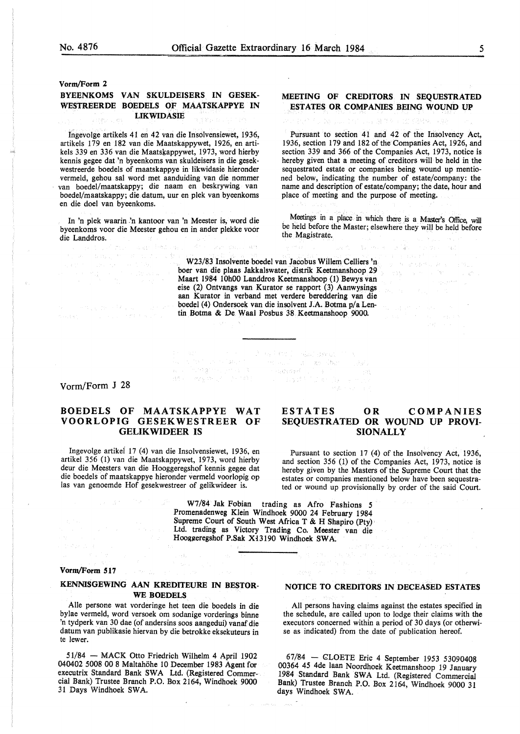**Vorm/Form 2** 

## **BYEENKOMS VAN SKULDEISERS IN GESEK-WESTREERDE BOEDELS OF MAATSKAPPYE IN LIKWIDASIE**

Ingevolge artikels 41 en 42 van die Insolvensiewet, 1936, artikels 179 en 182 van die Maatskappywet, 1926, en artikels 339 en 336 van die Maatskappywet, 1973, word hierby kennis gegee dat 'n byeenkoms van skuldeisers in die gesekwestreerde boedels of maatskappye in likwidasie hieronder vermeld, gehou sal word met aanduiding van die nommer van boedel/maatskappy; die naam en beskrywing van boedel/maatskappy; die datum, uur en plek van byeenkoms en die doe! van byeenkoms.

In 'n plek waarin *:n* kantoor van 'n Meester is, word die byeenkoms voor die Meester gehou en in ander plekke voor die Landdros.

anger Fredrich.

## **MEETING OF CREDITORS IN SEQUESTRATED ESTATES OR COMPANIES BEING WOUND UP**

Pursuant to section 41 and 42 of the Insolvency Act, 1936, section 179 and 182 of the Companies Act, 1926, and section 339 and 366 of the Companies Act, 1973, notice is hereby given that a meeting of creditors will be held in the sequestrated estate or companies being wound up mentioned below, indicating the number of estate/company: the name and description of estate/company; the date, hour and place of meeting and the purpose of meeting.

Meetings in a place in which there is a Master's Office, will be held before the Master; elsewhere they wiU be held before the Magistrate.

**No. Home Contains** 

e a collada de Cale<br>Los establecidades

 $\gamma=\gamma_1\zeta_1\gamma_2\gamma_3\gamma_5$ 

**County** 

W23/83 Insolvente boedel van Jacobus Willem Celliers 'n boer van die plaas Jakkalswater, distrik Keetmanshoop 29 Maart 1984 10h00 Landdros Keetmanshoop (1) Bewys van eise (2) Ontvangs van Kurator se rapport (3) Aanwysings aan Kurator in verband met verdere bereddering van die boedel (4) Ondersoek van die insolvent J.A. Botma p/a Lentin Botma & De Waal Posbus 38 Keetmanshoop 9000.

in an Air (1975) - Analytica American Company<br>And Carlos Analytic (1986) - An Air (1986)<br>Waller (1988) - An Air (1986) - An Air (1986)

 $\label{eq:1} \Delta \Phi := -\exp\left[ \Phi_{\rm{c}} \left( \frac{1}{2} \right) - \Delta \phi \left( \Phi \right) \right] \,.$ 

Vorm/Form J 28

ダート みちじゅ かいきんにん しっかくどく special contractors

 $\hat{g}$  .

# **BOEDELS OF MAATSKAPPYE WAT VOORLOPIG GESEKWESTREER OF GELIKWIDEER IS**

Ingevolge artikel 17 (4) van die Insolvensiewet, 1936, en artikel 356 (I) van die Maatskappywet, 1973, word hierby deur die Meesters van die Hooggeregshof kennis gegee dat die boedels of maatskappye hieronder vermeld voorlopig op las van genoemde Hof gesekwestreer of gelikwideer is.

# **ESTATES OR COMPANIES SEQUESTRATED OR WOUND UP PROVI-SIONALLY**

Pursuant to section 17 (4) of the Insolvency Act, 1936, and section 356 (I) of the Companies Act, 1973, notice is hereby given by the Masters of the Supreme Court that the estates or companies mentioned below have been sequestrated or wound up provisionally by order of the said Court.

W7 /84 Jak Fobian trading as Afro Fashions *5*  Promenadenweg Klein Windhoek 9000 24 February 1984 Supreme Court of South West Africa T & H Shapiro (Pty) Ltd. trading as Victory Trading Co. Meester van die Hooggeregshof P.Sak X13190 Windhoek SWA.

#### **Vorm/Form 517**

## **KENNISGEWING AAN KREDITEURE IN BESTOR-WE BOEDELS**

Alie persone wat vorderinge het teen die boedels in die bylae vermeld, word versoek om sodanige vorderings binne 'n tydperk van 30 dae (of andersins soos aangedui) vanaf die datum van publikasie hiervan by die betrokke eksekuteurs in te lewer.

51/84 - MACK Otto Friedrich Wilhelm 4 April 1902 040402 5008 00 8 Maltahohe IO December 1983 Agent for executrix Standard Bank SWA Ltd. (Registered Commercial Bank) Trustee Branch P.O. Box 2164, Windhoek 9000 31 Days Windhoek SWA.

# **NOTICE TO CREDITORS IN DECEASED ESTATES**

ing de

All persons having claims against the estates specified in the schedule, are called upon to lodge their claims with the executors concerned within a period of 30 days (or otherwise as indicated) from the date of publication hereof.

67/84 - GLOETE Eric 4 September 1953 53090408 00364 45 4de Jaan Noordhoek Keetmanshoop 19 January 1984 Standard Bank SWA Ltd. (Registered Commercial Bank) Trustee Branch P.O. Box 2164, Windhoek 9000 31 days Windhoek SWA.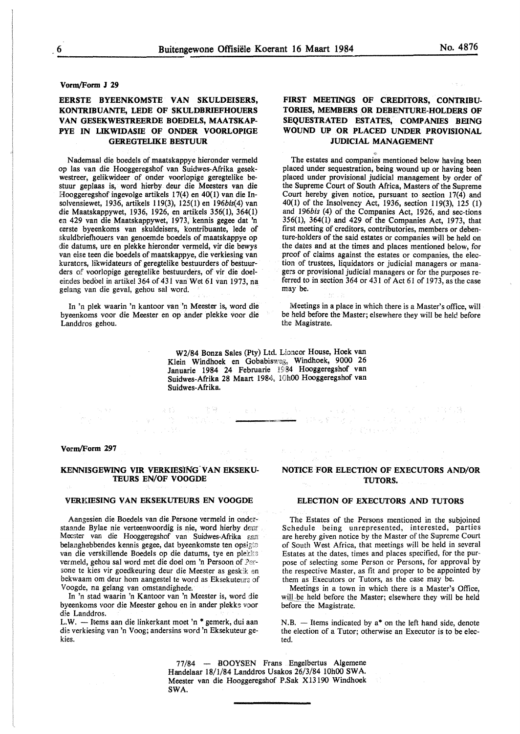# **EERSTE BYEENKOMSTE VAN SKULDEISERS, KONTRIBUANTE, LEDE OF SKULDBRIEFHOUERS VAN GESEKWESTREERDE BOEDELS, MAATSKAP-PYE IN LIKWIDASIE OF ONDER VOORLOPIGE GEREGTELIKE BESTUUR**

Nademaal die boedels of maatskappye hieronder vermeld op las van die Hooggeregshof van Suidwes-Afrika gesekwestreer, gelikwideer of onder voorlopige geregtelike bestuur geplaas is, word hierby deur die Meesters van die Hooggeregshof ingevolge artikels 17(4) en 40(1) van die Insolvensiewet, 1936, artikels 119(3), 125(1) en 196bis(4) van die Maatskappywet, 1936, 1926, en artikels 356(1), 364(1) en 429 van die Maatskappywet, 1973, kennis gegee dat 'n eerste byeenkoms van skuldeisers, kontribuante, Jede of skuldbriefhouers van genoemde boedels of maatskappye op die datums, ure en plekke hieronder vermeld, vir die bewys van eise teen die boedels of maatskappye, die verkiesing van kurators, Jikwidateurs of geregtelike bestuurders of bestuurders of voorlopige geregtelike bestuurders, of vir die doeleindes bedoel in artikel 364 of 431 van Wet 61 van 1973, na gelang van die geval, gehou sal word.

In 'n plek waarin 'n kantoor van 'n Meester is, word die byeenkoms voor die Meester en op ander plekke voor die Landdros gehou.

# **FIRST MEETINGS OF CREDITORS, CONTRIBU-TORIES, MEMBERS OR DEBENTURE-HOLDERS OF SEQUESTRATED ESTATES, COMPANIES BEING WOUND UP OR PLACED UNDER PROVISIONAL JUDICIAL MANAGEMENT**

The estates and companies mentioned below having been placed under sequestration, being wound up or having been placed under provisional judicial management by order of the Supreme Court of South Africa, Masters of the Supreme Court hereby given notice, pursuant to section  $17(4)$  and 40(1) of the Insolvency Act, 1936, section 119(3), 125 (1) and *196bis* (4) of the Companies Act, 1926, and sec-tions 356(1), 364(1) and 429 of the Companies Act, 1973, that first meeting of creditors, contributories, members or debenture-holders of the said estates or companies will be held on the dates and at the times and places mentioned below, for proof of claims against the estates or companies, the election of trustees, liquidators or judicial managers or managers or provisional judicial managers or for the purposes referred to in section 364 or 431 of Act 61 of 1973, as the case may be.

Meetings in a place in which there is a Master's office, will be held before the Master; elsewhere they will be held before the Magistrate.

W2/84 Honza Sales (Pty) Ltd. Lioncor House, Hoek van Klein Windhoek en Gobabisweg, Windhoek, 9000 26 Januarie 1984 24 Februarie I§B4 Hooggeregshof van Suidwes-Afrika 28 Maart 1984, 10h00 Hooggeregshof van Suidwes-Afrika.

#### Vorm/Form 297

## KENNISGEWING VIR VERKIESING VAN EKSEKU-**TEURS EN/OF VOOGDE**

i tanggunian.<br>Kabupatèn Kabupatèn Kabupatèn Kabupatèn Kabupatèn Kabupatèn Kabupatèn Kabupatèn Kabupatèn Kabupatèn Kabupatèn

#### **VERKIESING VAN EKSEKUTEURS EN VOOGDE**

Aangesien die Boedels van die Persone vermeld in onderstaande Bylae nie verteenwoordig is nie, word hierby deur Meester van die Hooggeregshof van Suidwes-Afrika aan belanghebbendes kennis gegee, dat byeenkomste ten opsigte van die verskillende Boedels op die datums, tye en plekke vermeld, gehou sal word met die doel om 'n Persoon of Persone te kies vir goedkeuring deur die Meester as geskik en bekwaam om deur hom aangestel te word as Eksekuteurs of Voogde, na gelang van omstandighede.

In 'n stad waarin 'n Kantoor van 'n Meester is, word die byeenkoms voor die Meester gehou en in ander plekke voor die Landdros.

L.W. — Items aan die linkerkant moet 'n \* gemerk, dui aan die verkiesing van 'n Voog; andersins word 'n Eksekuteur gekies.

# **NOTICE FOR ELECTION OF EXECUTORS AND/OR TUTORS.**

p Carlo Ka

 $\label{eq:4} \mathbb{E}\left[\mathcal{V}^{(1)}\left(\mathbf{w}^{\mathcal{L}}\right)^{\mathcal{L}}\right] \leq \mathbb{E}\left[\mathcal{V}^{(1)}\left(\mathcal{V}^{(1)}\right)^{\mathcal{L}}\right] \leq \mathbb{E}\left[\mathcal{V}^{(1)}\left(\mathcal{V}^{(1)}\right)^{\mathcal{L}}\right] \leq \mathbb{E}\left[\mathcal{V}^{(1)}\right]$ 

#### **ELECTION OF EXECUTORS AND TUTORS**

The Estates of the Persons mentioned in the subjoined Schedule being unrepresented, interested, parties are hereby given notice by the Master of the Supreme Court of South West Africa, that meetings will be held in several Estates at the dates, times and places specified, for the purpose of selecting some Person or Persons, for approval by the respective Master, as fit and proper to be appointed by them as Executors or Tutors, as the case may be.

Meetings in a town in which there is a Master's Office, will be held before the Master; elsewhere they will be held before the Magistrate.

 $N.B.$  - Items indicated by  $a^*$  on the left hand side, denote the election of a Tutor; otherwise an Executor is to be elected.

77 /84 - BOOYSEN Frans Engelbertus Algemene Handelaar 18/1/84 Landdros Usakos 26/3/84 10h00 SWA. Meester van die Hooggeregshof P.Sak Xl3190 Windhoek SWA.